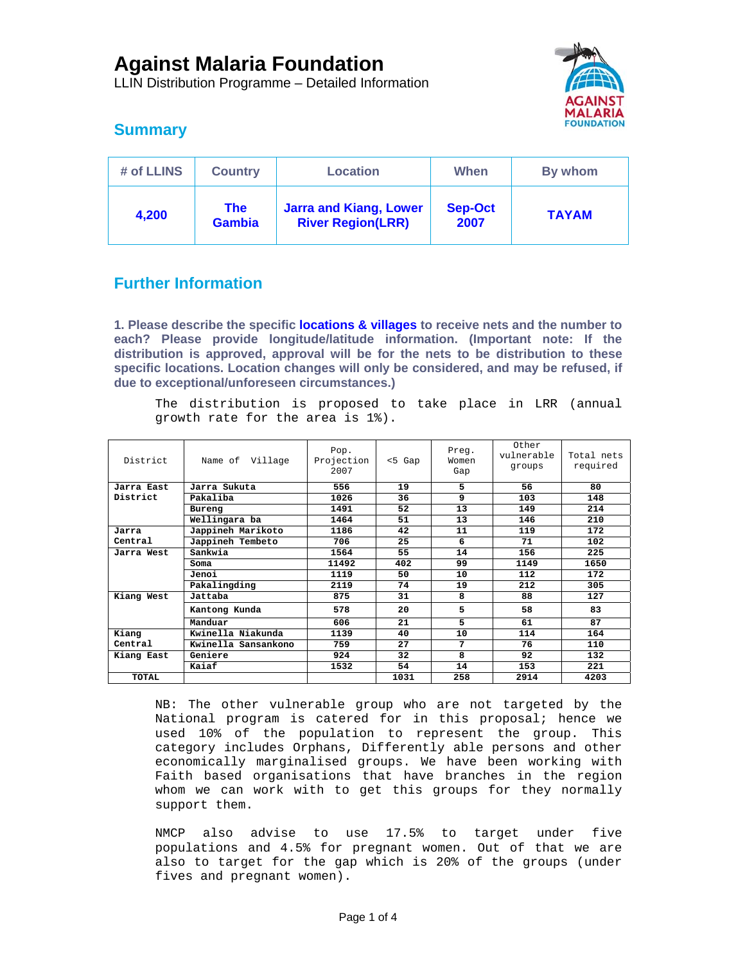LLIN Distribution Programme – Detailed Information



# **Summary**

| # of LLINS | <b>Country</b>              | <b>Location</b>                                           | When                   | By whom      |  |
|------------|-----------------------------|-----------------------------------------------------------|------------------------|--------------|--|
| 4,200      | <b>The</b><br><b>Gambia</b> | <b>Jarra and Kiang, Lower</b><br><b>River Region(LRR)</b> | <b>Sep-Oct</b><br>2007 | <b>TAYAM</b> |  |

# **Further Information**

**1. Please describe the specific locations & villages to receive nets and the number to each? Please provide longitude/latitude information. (Important note: If the distribution is approved, approval will be for the nets to be distribution to these specific locations. Location changes will only be considered, and may be refused, if due to exceptional/unforeseen circumstances.)** 

The distribution is proposed to take place in LRR (annual growth rate for the area is 1%).

| District     | Name of Village     | Pop.<br>Projection<br>2007 | $< 5$ Gap | Preg.<br>Women<br>Gap | Other<br>vulnerable<br>groups | Total nets<br>required |
|--------------|---------------------|----------------------------|-----------|-----------------------|-------------------------------|------------------------|
| Jarra East   | Jarra Sukuta        | 556                        | 19        | 5.                    | 56                            | 80                     |
| District     | Pakaliba            | 1026                       | 36        | 9                     | 103                           | 148                    |
|              | Bureng              | 1491                       | 52        | 13                    | 149                           | 214                    |
|              | Wellingara ba       | 1464                       | 51        | 13                    | 146                           | 210                    |
| Jarra        | Jappineh Marikoto   | 1186                       | 42        | 11                    | 119                           | 172                    |
| Central      | Jappineh Tembeto    | 706                        | 25        | 6                     | 71                            | 102                    |
| Jarra West   | Sankwia             | 1564                       | 55        | 14                    | 156                           | 225                    |
|              | Soma                | 11492                      | 402       | 99                    | 1149                          | 1650                   |
|              | Jenoi               | 1119                       | 50        | 10                    | 112                           | 172                    |
|              | Pakalingding        | 2119                       | 74        | 19                    | 212                           | 305                    |
| Kiang West   | Jattaba             | 875                        | 31        | 8                     | 88                            | 127                    |
|              | Kantong Kunda       | 578                        | 20        | 5                     | 58                            | 83                     |
|              | Manduar             | 606                        | 21        | 5                     | 61                            | 87                     |
| Kiang        | Kwinella Niakunda   | 1139                       | 40        | 10                    | 114                           | 164                    |
| Central      | Kwinella Sansankono | 759                        | 27        | 7                     | 76                            | 110                    |
| Kiang East   | Geniere             | 924                        | 32        | 8                     | 92                            | 132                    |
|              | Kaiaf               | 1532                       | 54        | 14                    | 153                           | 221                    |
| <b>TOTAL</b> |                     |                            | 1031      | 258                   | 2914                          | 4203                   |

NB: The other vulnerable group who are not targeted by the National program is catered for in this proposal; hence we used 10% of the population to represent the group. This category includes Orphans, Differently able persons and other economically marginalised groups. We have been working with Faith based organisations that have branches in the region whom we can work with to get this groups for they normally support them.

NMCP also advise to use 17.5% to target under five populations and 4.5% for pregnant women. Out of that we are also to target for the gap which is 20% of the groups (under fives and pregnant women).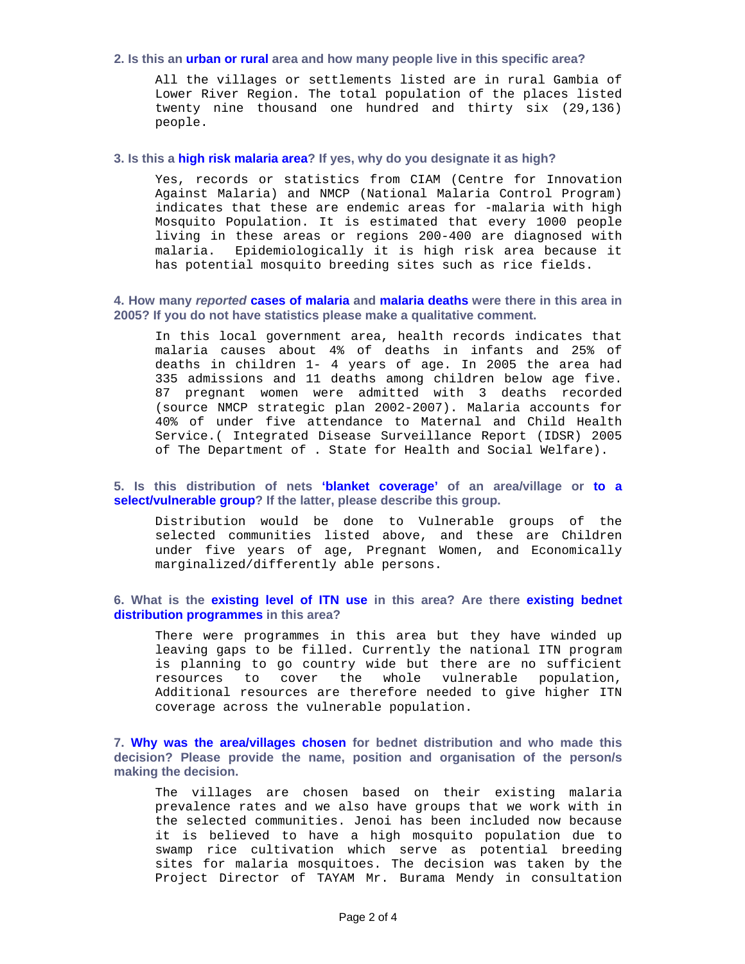#### **2. Is this an urban or rural area and how many people live in this specific area?**

All the villages or settlements listed are in rural Gambia of Lower River Region. The total population of the places listed twenty nine thousand one hundred and thirty six (29,136) people.

#### **3. Is this a high risk malaria area? If yes, why do you designate it as high?**

Yes, records or statistics from CIAM (Centre for Innovation Against Malaria) and NMCP (National Malaria Control Program) indicates that these are endemic areas for -malaria with high Mosquito Population. It is estimated that every 1000 people living in these areas or regions 200-400 are diagnosed with malaria. Epidemiologically it is high risk area because it has potential mosquito breeding sites such as rice fields.

### **4. How many** *reported* **cases of malaria and malaria deaths were there in this area in 2005? If you do not have statistics please make a qualitative comment.**

In this local government area, health records indicates that malaria causes about 4% of deaths in infants and 25% of deaths in children 1- 4 years of age. In 2005 the area had 335 admissions and 11 deaths among children below age five. 87 pregnant women were admitted with 3 deaths recorded (source NMCP strategic plan 2002-2007). Malaria accounts for 40% of under five attendance to Maternal and Child Health Service.( Integrated Disease Surveillance Report (IDSR) 2005 of The Department of . State for Health and Social Welfare).

## **5. Is this distribution of nets 'blanket coverage' of an area/village or to a select/vulnerable group? If the latter, please describe this group.**

Distribution would be done to Vulnerable groups of the selected communities listed above, and these are Children under five years of age, Pregnant Women, and Economically marginalized/differently able persons.

### **6. What is the existing level of ITN use in this area? Are there existing bednet distribution programmes in this area?**

There were programmes in this area but they have winded up leaving gaps to be filled. Currently the national ITN program is planning to go country wide but there are no sufficient resources to cover the whole vulnerable population, Additional resources are therefore needed to give higher ITN coverage across the vulnerable population.

**7. Why was the area/villages chosen for bednet distribution and who made this decision? Please provide the name, position and organisation of the person/s making the decision.** 

The villages are chosen based on their existing malaria prevalence rates and we also have groups that we work with in the selected communities. Jenoi has been included now because it is believed to have a high mosquito population due to swamp rice cultivation which serve as potential breeding sites for malaria mosquitoes. The decision was taken by the Project Director of TAYAM Mr. Burama Mendy in consultation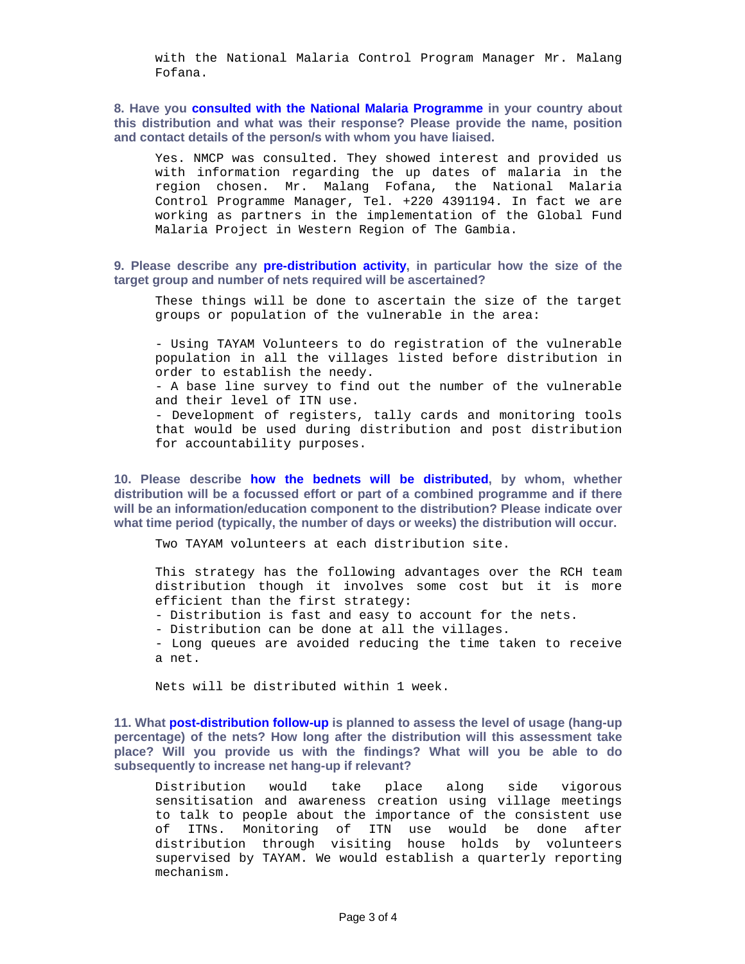with the National Malaria Control Program Manager Mr. Malang Fofana.

**8. Have you consulted with the National Malaria Programme in your country about this distribution and what was their response? Please provide the name, position and contact details of the person/s with whom you have liaised.** 

Yes. NMCP was consulted. They showed interest and provided us with information regarding the up dates of malaria in the region chosen. Mr. Malang Fofana, the National Malaria Control Programme Manager, Tel. +220 4391194. In fact we are working as partners in the implementation of the Global Fund Malaria Project in Western Region of The Gambia.

**9. Please describe any pre-distribution activity, in particular how the size of the target group and number of nets required will be ascertained?** 

These things will be done to ascertain the size of the target groups or population of the vulnerable in the area:

- Using TAYAM Volunteers to do registration of the vulnerable population in all the villages listed before distribution in order to establish the needy.

- A base line survey to find out the number of the vulnerable and their level of ITN use.

- Development of registers, tally cards and monitoring tools that would be used during distribution and post distribution for accountability purposes.

**10. Please describe how the bednets will be distributed, by whom, whether distribution will be a focussed effort or part of a combined programme and if there will be an information/education component to the distribution? Please indicate over what time period (typically, the number of days or weeks) the distribution will occur.** 

Two TAYAM volunteers at each distribution site.

This strategy has the following advantages over the RCH team distribution though it involves some cost but it is more efficient than the first strategy:

- Distribution is fast and easy to account for the nets.
- Distribution can be done at all the villages.
- Long queues are avoided reducing the time taken to receive a net.

Nets will be distributed within 1 week.

**11. What post-distribution follow-up is planned to assess the level of usage (hang-up percentage) of the nets? How long after the distribution will this assessment take place? Will you provide us with the findings? What will you be able to do subsequently to increase net hang-up if relevant?** 

Distribution would take place along side vigorous sensitisation and awareness creation using village meetings to talk to people about the importance of the consistent use of ITNs. Monitoring of ITN use would be done after distribution through visiting house holds by volunteers supervised by TAYAM. We would establish a quarterly reporting mechanism.